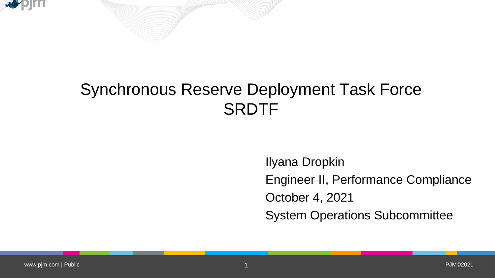



Ilyana Dropkin Engineer II, Performance Compliance October 4, 2021 System Operations Subcommittee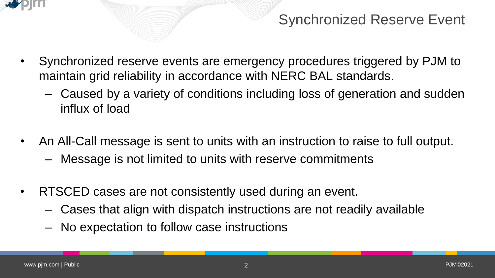

## Synchronized Reserve Event

- Synchronized reserve events are emergency procedures triggered by PJM to maintain grid reliability in accordance with NERC BAL standards.
	- Caused by a variety of conditions including loss of generation and sudden influx of load
- An All-Call message is sent to units with an instruction to raise to full output.
	- Message is not limited to units with reserve commitments
- RTSCED cases are not consistently used during an event.
	- Cases that align with dispatch instructions are not readily available
	- No expectation to follow case instructions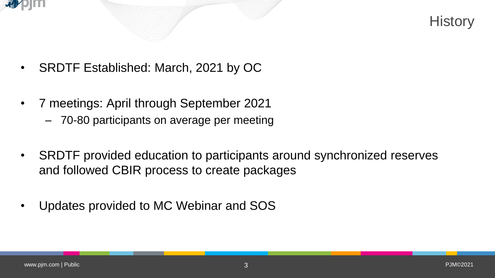



- SRDTF Established: March, 2021 by OC
- 7 meetings: April through September 2021
	- 70-80 participants on average per meeting
- SRDTF provided education to participants around synchronized reserves and followed CBIR process to create packages
- Updates provided to MC Webinar and SOS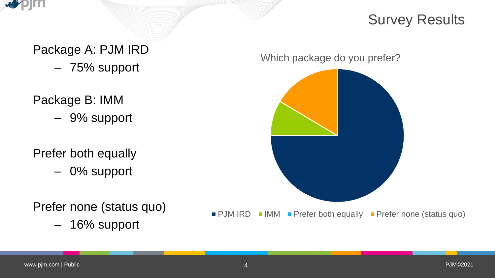

### Survey Results

Package A: PJM IRD

- 75% support
- Package B: IMM
	- 9% support

#### Prefer both equally

– 0% support

Prefer none (status quo)

– 16% support

Which package do you prefer?

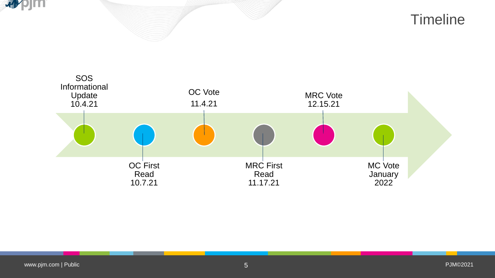



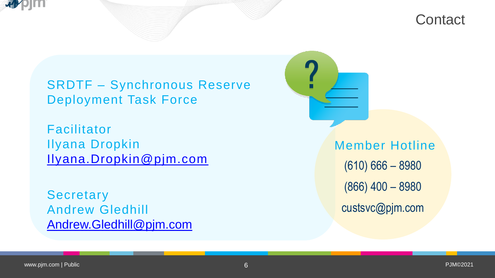



SRDTF – Synchronous Reserve Deployment Task Force

Facilitator Ilyana Dropkin [Ilyana.Dropkin@pjm.com](mailto:Ilyana.Dropkin@pjm.com)

**Secretary** Andrew Gledhill [Andrew.Gledhill@pjm.com](mailto:Andrew.Gledhill@pjm.com) Member Hotline (610) 666 – 8980 (866) 400 – 8980 custsvc@pjm.com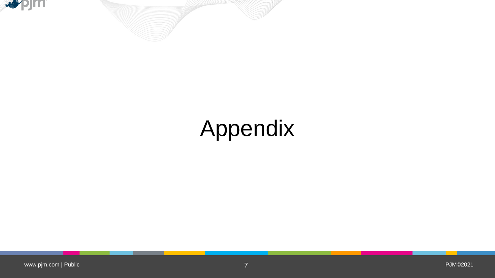



# Appendix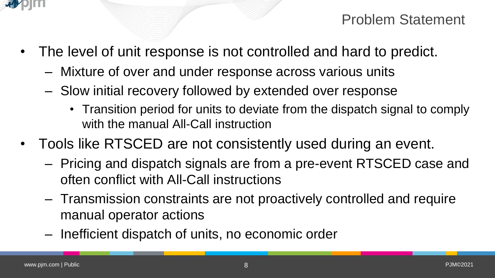

Problem Statement

- The level of unit response is not controlled and hard to predict.
	- Mixture of over and under response across various units
	- Slow initial recovery followed by extended over response
		- Transition period for units to deviate from the dispatch signal to comply with the manual All-Call instruction
- Tools like RTSCED are not consistently used during an event.
	- Pricing and dispatch signals are from a pre-event RTSCED case and often conflict with All-Call instructions
	- Transmission constraints are not proactively controlled and require manual operator actions
	- Inefficient dispatch of units, no economic order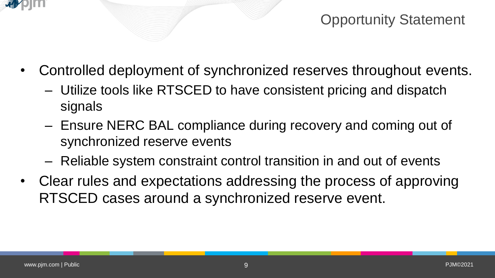

Opportunity Statement

- Controlled deployment of synchronized reserves throughout events.
	- Utilize tools like RTSCED to have consistent pricing and dispatch signals
	- Ensure NERC BAL compliance during recovery and coming out of synchronized reserve events
	- Reliable system constraint control transition in and out of events
- Clear rules and expectations addressing the process of approving RTSCED cases around a synchronized reserve event.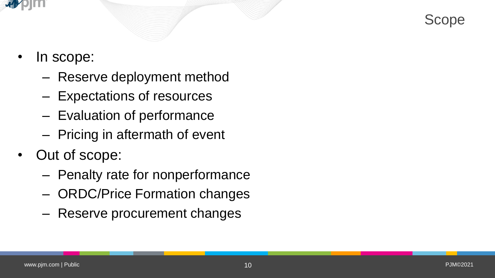



- In scope:
	- Reserve deployment method
	- Expectations of resources
	- Evaluation of performance
	- Pricing in aftermath of event
- Out of scope:
	- Penalty rate for nonperformance
	- ORDC/Price Formation changes
	- Reserve procurement changes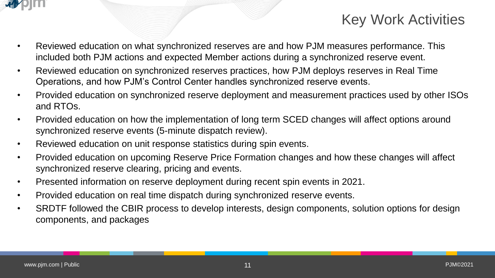

## Key Work Activities

- Reviewed education on what synchronized reserves are and how PJM measures performance. This included both PJM actions and expected Member actions during a synchronized reserve event.
- Reviewed education on synchronized reserves practices, how PJM deploys reserves in Real Time Operations, and how PJM's Control Center handles synchronized reserve events.
- Provided education on synchronized reserve deployment and measurement practices used by other ISOs and RTOs.
- Provided education on how the implementation of long term SCED changes will affect options around synchronized reserve events (5-minute dispatch review).
- Reviewed education on unit response statistics during spin events.
- Provided education on upcoming Reserve Price Formation changes and how these changes will affect synchronized reserve clearing, pricing and events.
- Presented information on reserve deployment during recent spin events in 2021.
- Provided education on real time dispatch during synchronized reserve events.
- SRDTF followed the CBIR process to develop interests, design components, solution options for design components, and packages